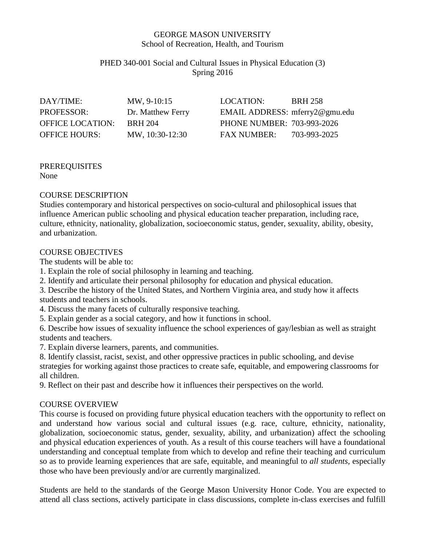#### GEORGE MASON UNIVERSITY School of Recreation, Health, and Tourism

# PHED 340-001 Social and Cultural Issues in Physical Education (3) Spring 2016

| DAY/TIME:               | MW, 9-10:15       | LOCATION:                      | <b>BRH 258</b> |
|-------------------------|-------------------|--------------------------------|----------------|
| <b>PROFESSOR:</b>       | Dr. Matthew Ferry | EMAIL ADDRESS: mferry2@gmu.edu |                |
| <b>OFFICE LOCATION:</b> | <b>BRH 204</b>    | PHONE NUMBER: 703-993-2026     |                |
| <b>OFFICE HOURS:</b>    | MW, 10:30-12:30   | FAX NUMBER:                    | 703-993-2025   |

# PREREQUISITES

None

# COURSE DESCRIPTION

Studies contemporary and historical perspectives on socio-cultural and philosophical issues that influence American public schooling and physical education teacher preparation, including race, culture, ethnicity, nationality, globalization, socioeconomic status, gender, sexuality, ability, obesity, and urbanization.

# COURSE OBJECTIVES

The students will be able to:

- 1. Explain the role of social philosophy in learning and teaching.
- 2. Identify and articulate their personal philosophy for education and physical education.
- 3. Describe the history of the United States, and Northern Virginia area, and study how it affects students and teachers in schools.
- 4. Discuss the many facets of culturally responsive teaching.
- 5. Explain gender as a social category, and how it functions in school.

6. Describe how issues of sexuality influence the school experiences of gay/lesbian as well as straight students and teachers.

7. Explain diverse learners, parents, and communities.

8. Identify classist, racist, sexist, and other oppressive practices in public schooling, and devise strategies for working against those practices to create safe, equitable, and empowering classrooms for all children.

9. Reflect on their past and describe how it influences their perspectives on the world.

# COURSE OVERVIEW

This course is focused on providing future physical education teachers with the opportunity to reflect on and understand how various social and cultural issues (e.g. race, culture, ethnicity, nationality, globalization, socioeconomic status, gender, sexuality, ability, and urbanization) affect the schooling and physical education experiences of youth. As a result of this course teachers will have a foundational understanding and conceptual template from which to develop and refine their teaching and curriculum so as to provide learning experiences that are safe, equitable, and meaningful to *all students,* especially those who have been previously and/or are currently marginalized.

Students are held to the standards of the George Mason University Honor Code. You are expected to attend all class sections, actively participate in class discussions, complete in-class exercises and fulfill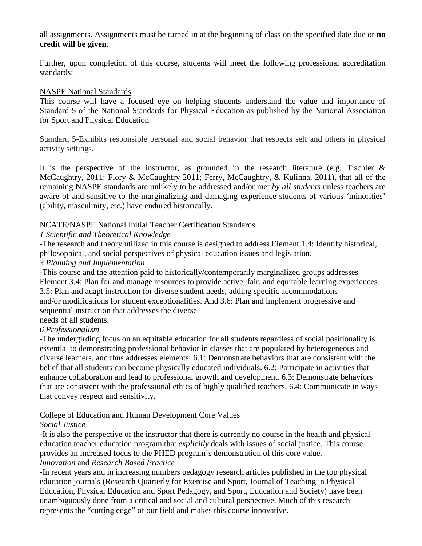all assignments. Assignments must be turned in at the beginning of class on the specified date due or **no credit will be given**.

Further, upon completion of this course, students will meet the following professional accreditation standards:

#### NASPE National Standards

This course will have a focused eye on helping students understand the value and importance of Standard 5 of the National Standards for Physical Education as published by the National Association for Sport and Physical Education

Standard 5-Exhibits responsible personal and social behavior that respects self and others in physical activity settings.

It is the perspective of the instructor, as grounded in the research literature (e.g. Tischler  $\&$ McCaughtry, 2011: Flory & McCaughtry 2011; Ferry, McCaughtry, & Kulinna, 2011), that all of the remaining NASPE standards are unlikely to be addressed and/or met *by all students* unless teachers are aware of and sensitive to the marginalizing and damaging experience students of various 'minorities' (ability, masculinity, etc.) have endured historically.

## NCATE/NASPE National Initial Teacher Certification Standards

#### *1 Scientific and Theoretical Knowledge*

-The research and theory utilized in this course is designed to address Element 1.4: Identify historical, philosophical, and social perspectives of physical education issues and legislation.

#### *3 Planning and Implementation*

-This course and the attention paid to historically/contemporarily marginalized groups addresses Element 3.4: Plan for and manage resources to provide active, fair, and equitable learning experiences. 3.5: Plan and adapt instruction for diverse student needs, adding specific accommodations and/or modifications for student exceptionalities. And 3.6: Plan and implement progressive and sequential instruction that addresses the diverse

# needs of all students.

# *6 Professionalism*

-The undergirding focus on an equitable education for all students regardless of social positionality is essential to demonstrating professional behavior in classes that are populated by heterogeneous and diverse learners, and thus addresses elements: 6.1: Demonstrate behaviors that are consistent with the belief that all students can become physically educated individuals. 6.2: Participate in activities that enhance collaboration and lead to professional growth and development. 6.3: Demonstrate behaviors that are consistent with the professional ethics of highly qualified teachers. 6.4: Communicate in ways that convey respect and sensitivity.

## College of Education and Human Development Core Values

#### *Social Justice*

-It is also the perspective of the instructor that there is currently no course in the health and physical education teacher education program that *explicitly* deals with issues of social justice. This course provides an increased focus to the PHED program's demonstration of this core value. *Innovation* and *Research Based Practice*

-In recent years and in increasing numbers pedagogy research articles published in the top physical education journals (Research Quarterly for Exercise and Sport, Journal of Teaching in Physical Education, Physical Education and Sport Pedagogy, and Sport, Education and Society) have been unambiguously done from a critical and social and cultural perspective. Much of this research represents the "cutting edge" of our field and makes this course innovative.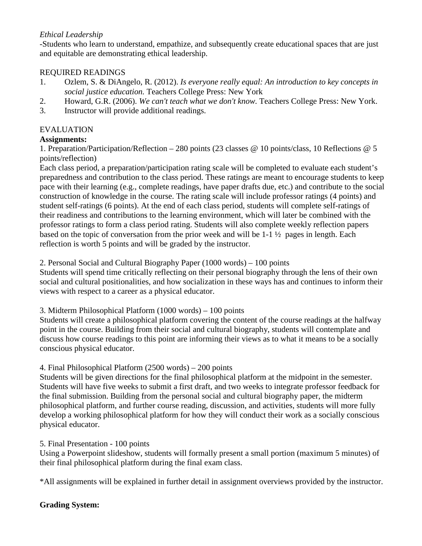# *Ethical Leadership*

-Students who learn to understand, empathize, and subsequently create educational spaces that are just and equitable are demonstrating ethical leadership.

#### REQUIRED READINGS

- 1. Ozlem, S. & DiAngelo, R. (2012). *Is everyone really equal: An introduction to key concepts in social justice education.* Teachers College Press: New York
- 2. Howard, G.R. (2006). *We can't teach what we don't know.* Teachers College Press: New York.
- 3. Instructor will provide additional readings.

# EVALUATION

## **Assignments:**

1. Preparation/Participation/Reflection – 280 points (23 classes @ 10 points/class, 10 Reflections @ 5 points/reflection)

Each class period, a preparation/participation rating scale will be completed to evaluate each student's preparedness and contribution to the class period. These ratings are meant to encourage students to keep pace with their learning (e.g., complete readings, have paper drafts due, etc.) and contribute to the social construction of knowledge in the course. The rating scale will include professor ratings (4 points) and student self-ratings (6 points). At the end of each class period, students will complete self-ratings of their readiness and contributions to the learning environment, which will later be combined with the professor ratings to form a class period rating. Students will also complete weekly reflection papers based on the topic of conversation from the prior week and will be 1-1 ½ pages in length. Each reflection is worth 5 points and will be graded by the instructor.

#### 2. Personal Social and Cultural Biography Paper (1000 words) – 100 points

Students will spend time critically reflecting on their personal biography through the lens of their own social and cultural positionalities, and how socialization in these ways has and continues to inform their views with respect to a career as a physical educator.

#### 3. Midterm Philosophical Platform (1000 words) – 100 points

Students will create a philosophical platform covering the content of the course readings at the halfway point in the course. Building from their social and cultural biography, students will contemplate and discuss how course readings to this point are informing their views as to what it means to be a socially conscious physical educator.

## 4. Final Philosophical Platform (2500 words) – 200 points

Students will be given directions for the final philosophical platform at the midpoint in the semester. Students will have five weeks to submit a first draft, and two weeks to integrate professor feedback for the final submission. Building from the personal social and cultural biography paper, the midterm philosophical platform, and further course reading, discussion, and activities, students will more fully develop a working philosophical platform for how they will conduct their work as a socially conscious physical educator.

## 5. Final Presentation - 100 points

Using a Powerpoint slideshow, students will formally present a small portion (maximum 5 minutes) of their final philosophical platform during the final exam class.

\*All assignments will be explained in further detail in assignment overviews provided by the instructor.

#### **Grading System:**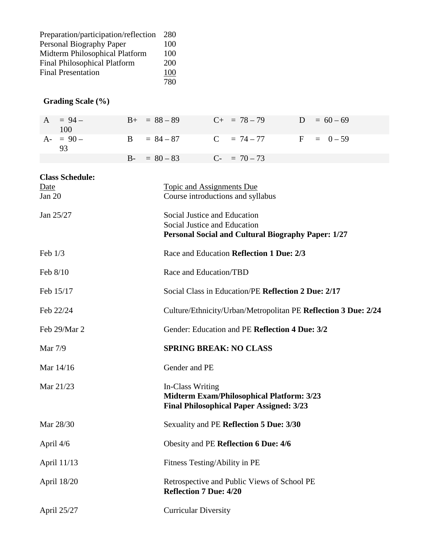| Preparation/participation/reflection | 280 |
|--------------------------------------|-----|
| Personal Biography Paper             | 100 |
| Midterm Philosophical Platform       | 100 |
| <b>Final Philosophical Platform</b>  | 200 |
| <b>Final Presentation</b>            | 100 |
|                                      | 780 |

# **Grading Scale (%)**

| $A = 94 -$<br>100 | $B + = 88 - 89$ | $C_{+}$ = 78 – 79                  | $D = 60 - 69$ |
|-------------------|-----------------|------------------------------------|---------------|
| $A - 90 -$<br>93  |                 | $B = 84-87$ C = 74 - 77 F = 0 - 59 |               |
|                   | $B - 80 - 83$   | $C_{-}$ = 70 – 73                  |               |

| <b>Class Schedule:</b> |                                                                                                                           |
|------------------------|---------------------------------------------------------------------------------------------------------------------------|
| Date<br>Jan 20         | <b>Topic and Assignments Due</b><br>Course introductions and syllabus                                                     |
| Jan 25/27              | Social Justice and Education<br>Social Justice and Education<br><b>Personal Social and Cultural Biography Paper: 1/27</b> |
| Feb $1/3$              | Race and Education Reflection 1 Due: 2/3                                                                                  |
| Feb 8/10               | Race and Education/TBD                                                                                                    |
| Feb 15/17              | Social Class in Education/PE Reflection 2 Due: 2/17                                                                       |
| Feb 22/24              | Culture/Ethnicity/Urban/Metropolitan PE Reflection 3 Due: 2/24                                                            |
| Feb 29/Mar 2           | Gender: Education and PE Reflection 4 Due: 3/2                                                                            |
| Mar 7/9                | <b>SPRING BREAK: NO CLASS</b>                                                                                             |
| Mar 14/16              | Gender and PE                                                                                                             |
| Mar 21/23              | In-Class Writing<br><b>Midterm Exam/Philosophical Platform: 3/23</b><br><b>Final Philosophical Paper Assigned: 3/23</b>   |
| Mar 28/30              | Sexuality and PE Reflection 5 Due: 3/30                                                                                   |
| April 4/6              | Obesity and PE Reflection 6 Due: 4/6                                                                                      |
| April 11/13            | Fitness Testing/Ability in PE                                                                                             |
| April 18/20            | Retrospective and Public Views of School PE<br><b>Reflection 7 Due: 4/20</b>                                              |
| April 25/27            | <b>Curricular Diversity</b>                                                                                               |